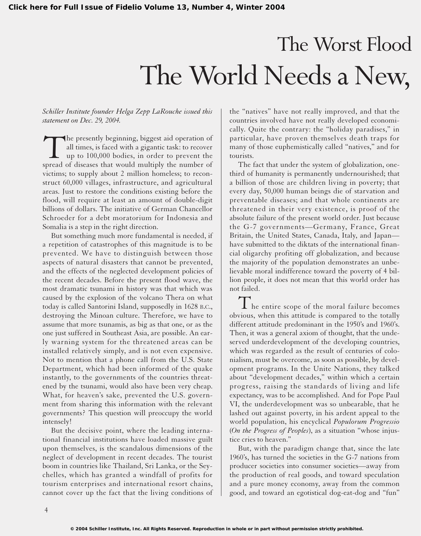## The Worst Flood The World Needs a New,

## *Schiller Institute founder Helga Zepp LaRouche issued this statement on Dec. 29, 2004.*

The presently beginning, biggest aid operation of<br>all times, is faced with a gigantic task: to recover<br>up to 100,000 bodies, in order to prevent the<br>spread of diseases that would multiply the number of all times, is faced with a gigantic task: to recover up to 100,000 bodies, in order to prevent the spread of diseases that would multiply the number of victims; to supply about 2 million homeless; to reconstruct 60,000 villages, infrastructure, and agricultural areas. Just to restore the conditions existing before the flood, will require at least an amount of double-digit billions of dollars. The initiative of German Chancellor Schroeder for a debt moratorium for Indonesia and Somalia is a step in the right direction.

But something much more fundamental is needed, if a repetition of catastrophes of this magnitude is to be prevented. We have to distinguish between those aspects of natural disasters that cannot be prevented, and the effects of the neglected development policies of the recent decades. Before the present flood wave, the most dramatic tsunami in history was that which was caused by the explosion of the volcano Thera on what today is called Santorini Island, supposedly in 1628 B.C., destroying the Minoan culture. Therefore, we have to assume that more tsunamis, as big as that one, or as the one just suffered in Southeast Asia, are possible. An early warning system for the threatened areas can be installed relatively simply, and is not even expensive. Not to mention that a phone call from the U.S. State Department, which had been informed of the quake instantly, to the governments of the countries threatened by the tsunami, would also have been very cheap. What, for heaven's sake, prevented the U.S. government from sharing this information with the relevant governments? This question will preoccupy the world intensely!

But the decisive point, where the leading international financial institutions have loaded massive guilt upon themselves, is the scandalous dimensions of the neglect of development in recent decades. The tourist boom in countries like Thailand, Sri Lanka, or the Seychelles, which has granted a windfall of profits for tourism enterprises and international resort chains, cannot cover up the fact that the living conditions of

the "natives" have not really improved, and that the countries involved have not really developed economically. Quite the contrary: the "holiday paradises," in particular, have proven themselves death traps for many of those euphemistically called "natives," and for tourists.

The fact that under the system of globalization, onethird of humanity is permanently undernourished; that a billion of those are children living in poverty; that every day, 50,000 human beings die of starvation and preventable diseases; and that whole continents are threatened in their very existence, is proof of the absolute failure of the present world order. Just because the G-7 governments—Germany, France, Great Britain, the United States, Canada, Italy, and Japan have submitted to the diktats of the international financial oligarchy profiting off globalization, and because the majority of the population demonstrates an unbelievable moral indifference toward the poverty of 4 billion people, it does not mean that this world order has not failed.

 $\mathbf 1$  he entire scope of the moral failure becomes obvious, when this attitude is compared to the totally different attitude predominant in the 1950's and 1960's. Then, it was a general axiom of thought, that the undeserved underdevelopment of the developing countries, which was regarded as the result of centuries of colonialism, must be overcome, as soon as possible, by development programs. In the Unite Nations, they talked about "development decades," within which a certain progress, raising the standards of living and life expectancy, was to be accomplished. And for Pope Paul VI, the underdevelopment was so unbearable, that he lashed out against poverty, in his ardent appeal to the world population, his encyclical *Populorum Progressio* (*On the Progress of Peoples*), as a situation "whose injustice cries to heaven."

But, with the paradigm change that, since the late 1960's, has turned the societies in the G-7 nations from producer societies into consumer societies—away from the production of real goods, and toward speculation and a pure money economy, away from the common good, and toward an egotistical dog-eat-dog and "fun"